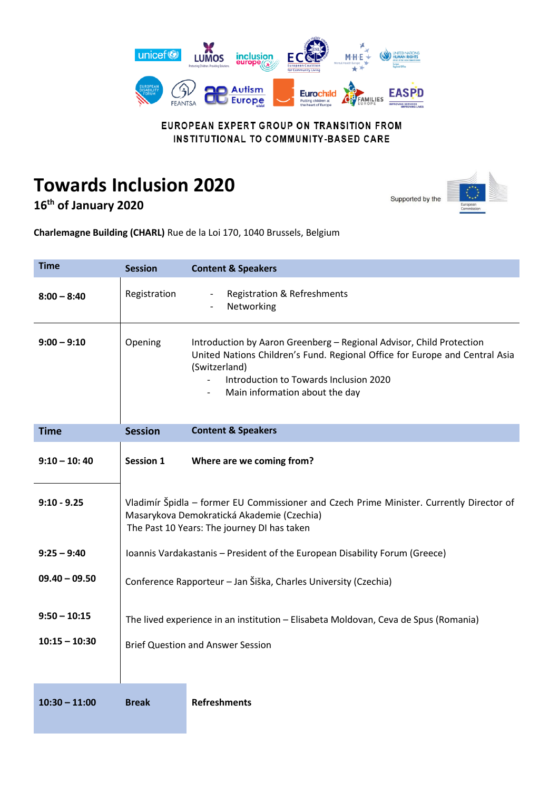

EUROPEAN EXPERT GROUP ON TRANSITION FROM INSTITUTIONAL TO COMMUNITY-BASED CARE

## **Towards Inclusion 2020**

**16th of January 2020**

Supported by the



| <b>Time</b>     | <b>Session</b>                                                                                                                                                                        | <b>Content &amp; Speakers</b>                                                                                                                                                                                                                    |  |
|-----------------|---------------------------------------------------------------------------------------------------------------------------------------------------------------------------------------|--------------------------------------------------------------------------------------------------------------------------------------------------------------------------------------------------------------------------------------------------|--|
| $8:00 - 8:40$   | Registration                                                                                                                                                                          | <b>Registration &amp; Refreshments</b><br>Networking                                                                                                                                                                                             |  |
| $9:00 - 9:10$   | Opening                                                                                                                                                                               | Introduction by Aaron Greenberg - Regional Advisor, Child Protection<br>United Nations Children's Fund. Regional Office for Europe and Central Asia<br>(Switzerland)<br>Introduction to Towards Inclusion 2020<br>Main information about the day |  |
| <b>Time</b>     | <b>Session</b>                                                                                                                                                                        | <b>Content &amp; Speakers</b>                                                                                                                                                                                                                    |  |
| $9:10 - 10:40$  | <b>Session 1</b>                                                                                                                                                                      | Where are we coming from?                                                                                                                                                                                                                        |  |
| $9:10 - 9.25$   | Vladimír Špidla - former EU Commissioner and Czech Prime Minister. Currently Director of<br>Masarykova Demokratická Akademie (Czechia)<br>The Past 10 Years: The journey DI has taken |                                                                                                                                                                                                                                                  |  |
| $9:25 - 9:40$   | Ioannis Vardakastanis - President of the European Disability Forum (Greece)                                                                                                           |                                                                                                                                                                                                                                                  |  |
| $09.40 - 09.50$ | Conference Rapporteur - Jan Šiška, Charles University (Czechia)                                                                                                                       |                                                                                                                                                                                                                                                  |  |
| $9:50 - 10:15$  | The lived experience in an institution - Elisabeta Moldovan, Ceva de Spus (Romania)                                                                                                   |                                                                                                                                                                                                                                                  |  |
| $10:15 - 10:30$ | <b>Brief Question and Answer Session</b>                                                                                                                                              |                                                                                                                                                                                                                                                  |  |
|                 |                                                                                                                                                                                       |                                                                                                                                                                                                                                                  |  |
| $10:30 - 11:00$ | <b>Break</b>                                                                                                                                                                          | <b>Refreshments</b>                                                                                                                                                                                                                              |  |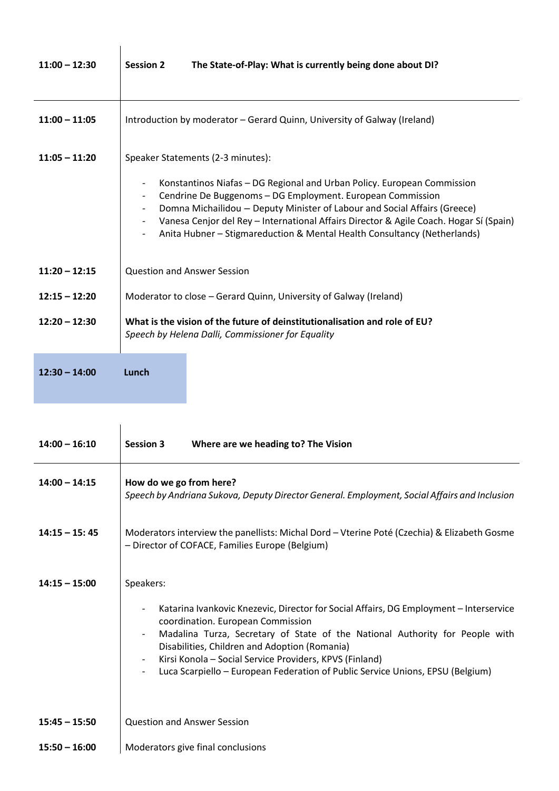| $11:00 - 12:30$ | The State-of-Play: What is currently being done about DI?<br><b>Session 2</b>                                                                                                                                                                                                                                                                                                                                                 |  |
|-----------------|-------------------------------------------------------------------------------------------------------------------------------------------------------------------------------------------------------------------------------------------------------------------------------------------------------------------------------------------------------------------------------------------------------------------------------|--|
| $11:00 - 11:05$ | Introduction by moderator – Gerard Quinn, University of Galway (Ireland)                                                                                                                                                                                                                                                                                                                                                      |  |
| $11:05 - 11:20$ | Speaker Statements (2-3 minutes):<br>Konstantinos Niafas – DG Regional and Urban Policy. European Commission<br>Cendrine De Buggenoms - DG Employment. European Commission<br>Domna Michailidou - Deputy Minister of Labour and Social Affairs (Greece)<br>Vanesa Cenjor del Rey - International Affairs Director & Agile Coach. Hogar Sí (Spain)<br>Anita Hubner - Stigmareduction & Mental Health Consultancy (Netherlands) |  |
| $11:20 - 12:15$ | <b>Question and Answer Session</b>                                                                                                                                                                                                                                                                                                                                                                                            |  |
| $12:15 - 12:20$ | Moderator to close – Gerard Quinn, University of Galway (Ireland)                                                                                                                                                                                                                                                                                                                                                             |  |
| $12:20 - 12:30$ | What is the vision of the future of deinstitutionalisation and role of EU?<br>Speech by Helena Dalli, Commissioner for Equality                                                                                                                                                                                                                                                                                               |  |

| $12:30 - 14:00$ | Lunch |
|-----------------|-------|
|-----------------|-------|

| $14:00 - 16:10$ | Where are we heading to? The Vision<br><b>Session 3</b>                                                                                                                                                                                                                                                                                                                                                                                                                                       |  |  |
|-----------------|-----------------------------------------------------------------------------------------------------------------------------------------------------------------------------------------------------------------------------------------------------------------------------------------------------------------------------------------------------------------------------------------------------------------------------------------------------------------------------------------------|--|--|
|                 |                                                                                                                                                                                                                                                                                                                                                                                                                                                                                               |  |  |
| $14:00 - 14:15$ | How do we go from here?<br>Speech by Andriana Sukova, Deputy Director General. Employment, Social Affairs and Inclusion                                                                                                                                                                                                                                                                                                                                                                       |  |  |
| $14:15 - 15:45$ | Moderators interview the panellists: Michal Dord - Vterine Poté (Czechia) & Elizabeth Gosme<br>- Director of COFACE, Families Europe (Belgium)                                                                                                                                                                                                                                                                                                                                                |  |  |
| $14:15 - 15:00$ | Speakers:                                                                                                                                                                                                                                                                                                                                                                                                                                                                                     |  |  |
|                 | Katarina Ivankovic Knezevic, Director for Social Affairs, DG Employment - Interservice<br>$\overline{\phantom{a}}$<br>coordination. European Commission<br>Madalina Turza, Secretary of State of the National Authority for People with<br>$\overline{\phantom{a}}$<br>Disabilities, Children and Adoption (Romania)<br>Kirsi Konola - Social Service Providers, KPVS (Finland)<br>Luca Scarpiello - European Federation of Public Service Unions, EPSU (Belgium)<br>$\overline{\phantom{a}}$ |  |  |
| $15:45 - 15:50$ | <b>Question and Answer Session</b>                                                                                                                                                                                                                                                                                                                                                                                                                                                            |  |  |
| $15:50 - 16:00$ | Moderators give final conclusions                                                                                                                                                                                                                                                                                                                                                                                                                                                             |  |  |